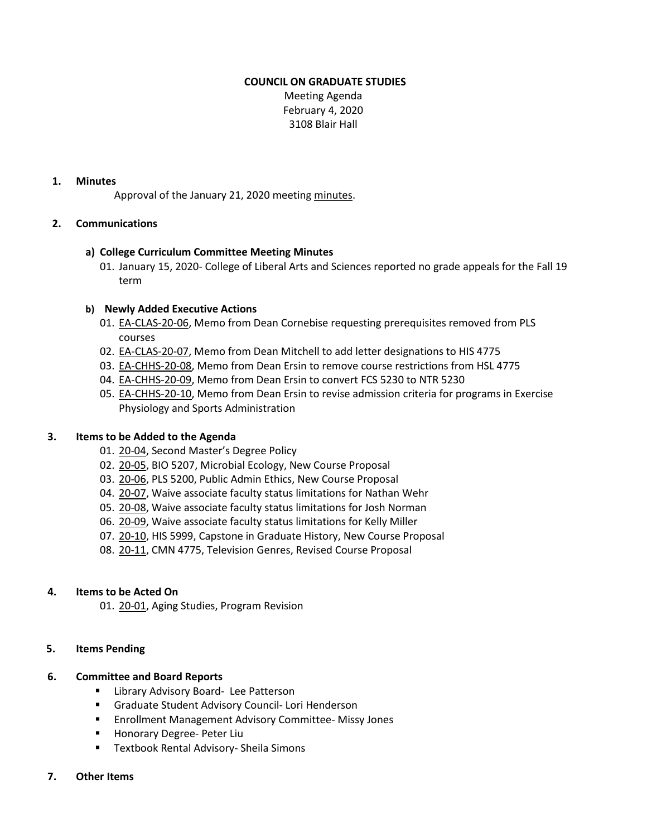# **COUNCIL ON GRADUATE STUDIES**

Meeting Agenda February 4, 2020 3108 Blair Hall

#### **1. Minutes**

Approval of the January 21, 2020 meeting [minutes](https://castle.eiu.edu/eiucgs/currentminutes/Minutes1-21-20.pdf).

### **2. Communications**

### **a) College Curriculum Committee Meeting Minutes**

01. January 15, 2020- College of Liberal Arts and Sciences reported no grade appeals for the Fall 19 term

### **b) Newly Added Executive Actions**

- 01. [EA-CLAS-20-06,](http://castle.eiu.edu/eiucgs/exec-actions/EA-CLAS-20-06.pdf) Memo from Dean Cornebise requesting prerequisites removed from PLS courses
- 02. [EA-CLAS-20-07, M](http://castle.eiu.edu/eiucgs/exec-actions/EA-CLAS-20-07.pdf)emo from Dean Mitchell to add letter designations to HIS 4775
- 03. [EA-CHHS-20-08,](http://castle.eiu.edu/eiucgs/exec-actions/EA-CHHS-20-08.pdf) Memo from Dean Ersin to remove course restrictions from HSL 4775
- 04. [EA-CHHS-20-09, M](http://castle.eiu.edu/eiucgs/exec-actions/EA-CHHS-20-09.pdf)emo from Dean Ersin to convert FCS 5230 to NTR 5230
- 05. [EA-CHHS-20-10,](http://castle.eiu.edu/eiucgs/exec-actions/EA-CHHS-20-10.pdf) Memo from Dean Ersin to revise admission criteria for programs in Exercise Physiology and Sports Administration

#### **3. Items to be Added to the Agenda**

- 01. [20-04](http://castle.eiu.edu/eiucgs/currentagendaitems/agenda20-04.pdf), Second Master's Degree Policy
- 02. [20-05, B](http://castle.eiu.edu/eiucgs/currentagendaitems/agenda20-05.pdf)IO 5207, Microbial Ecology, New Course Proposal
- 03. [20-06,](http://castle.eiu.edu/eiucgs/currentagendaitems/agenda20-06.pdf) PLS 5200, Public Admin Ethics, New Course Proposal
- 04. [20-07, W](http://castle.eiu.edu/eiucgs/currentagendaitems/agenda20-07.pdf)aive associate faculty status limitations for Nathan Wehr
- 05. [20-08,](http://castle.eiu.edu/eiucgs/currentagendaitems/agenda20-08.pdf) Waive associate faculty status limitations for Josh Norman
- 06. [20-09, W](http://castle.eiu.edu/eiucgs/currentagendaitems/agenda20-09.pdf)aive associate faculty status limitations for Kelly Miller
- 07. [20-10,](http://castle.eiu.edu/eiucgs/currentagendaitems/agenda20-10.pdf) HIS 5999, Capstone in Graduate History, New Course Proposal
- 08. [20-11](http://castle.eiu.edu/eiucgs/currentagendaitems/agenda20-11.pdf), CMN 4775, Television Genres, Revised Course Proposal

# **4. Items to be Acted On**

01. [20-01,](http://castle.eiu.edu/eiucgs/currentagendaitems/agenda20-01.pdf) Aging Studies, Program Revision

#### **5. Items Pending**

# **6. Committee and Board Reports**

- **E** Library Advisory Board- Lee Patterson
- Graduate Student Advisory Council- Lori Henderson
- **Enrollment Management Advisory Committee- Missy Jones**
- **Honorary Degree- Peter Liu**
- **Textbook Rental Advisory- Sheila Simons**
- **7. Other Items**